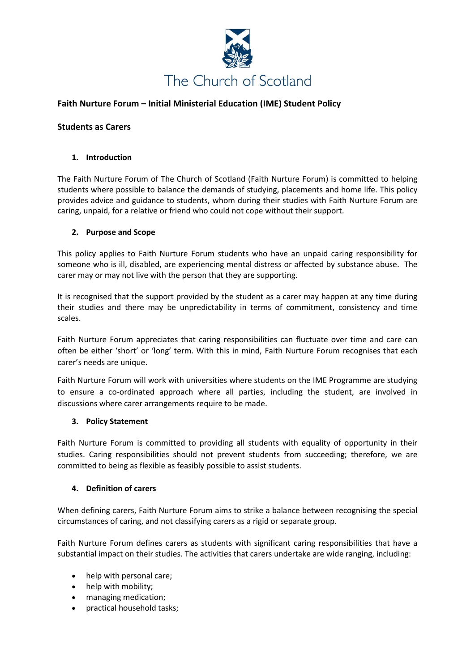

# **Faith Nurture Forum – Initial Ministerial Education (IME) Student Policy**

#### **Students as Carers**

#### **1. Introduction**

The Faith Nurture Forum of The Church of Scotland (Faith Nurture Forum) is committed to helping students where possible to balance the demands of studying, placements and home life. This policy provides advice and guidance to students, whom during their studies with Faith Nurture Forum are caring, unpaid, for a relative or friend who could not cope without their support.

#### **2. Purpose and Scope**

This policy applies to Faith Nurture Forum students who have an unpaid caring responsibility for someone who is ill, disabled, are experiencing mental distress or affected by substance abuse. The carer may or may not live with the person that they are supporting.

It is recognised that the support provided by the student as a carer may happen at any time during their studies and there may be unpredictability in terms of commitment, consistency and time scales.

Faith Nurture Forum appreciates that caring responsibilities can fluctuate over time and care can often be either 'short' or 'long' term. With this in mind, Faith Nurture Forum recognises that each carer's needs are unique.

Faith Nurture Forum will work with universities where students on the IME Programme are studying to ensure a co-ordinated approach where all parties, including the student, are involved in discussions where carer arrangements require to be made.

#### **3. Policy Statement**

Faith Nurture Forum is committed to providing all students with equality of opportunity in their studies. Caring responsibilities should not prevent students from succeeding; therefore, we are committed to being as flexible as feasibly possible to assist students.

#### **4. Definition of carers**

When defining carers, Faith Nurture Forum aims to strike a balance between recognising the special circumstances of caring, and not classifying carers as a rigid or separate group.

Faith Nurture Forum defines carers as students with significant caring responsibilities that have a substantial impact on their studies. The activities that carers undertake are wide ranging, including:

- help with personal care;
- help with mobility;
- managing medication;
- practical household tasks;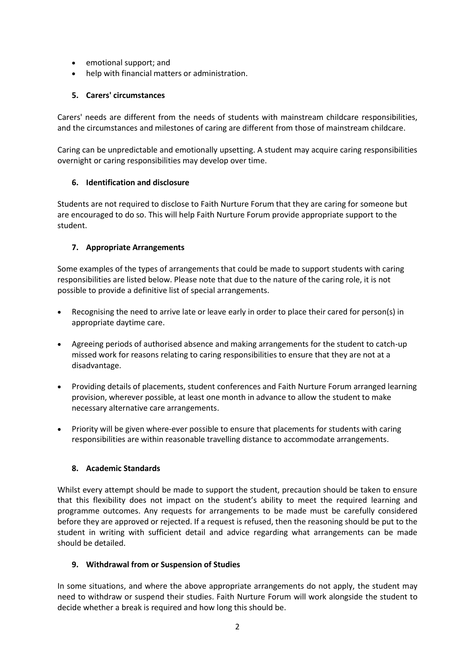- emotional support; and
- help with financial matters or administration.

### **5. Carers' circumstances**

Carers' needs are different from the needs of students with mainstream childcare responsibilities, and the circumstances and milestones of caring are different from those of mainstream childcare.

Caring can be unpredictable and emotionally upsetting. A student may acquire caring responsibilities overnight or caring responsibilities may develop over time.

# **6. Identification and disclosure**

Students are not required to disclose to Faith Nurture Forum that they are caring for someone but are encouraged to do so. This will help Faith Nurture Forum provide appropriate support to the student.

# **7. Appropriate Arrangements**

Some examples of the types of arrangements that could be made to support students with caring responsibilities are listed below. Please note that due to the nature of the caring role, it is not possible to provide a definitive list of special arrangements.

- Recognising the need to arrive late or leave early in order to place their cared for person(s) in appropriate daytime care.
- Agreeing periods of authorised absence and making arrangements for the student to catch-up missed work for reasons relating to caring responsibilities to ensure that they are not at a disadvantage.
- Providing details of placements, student conferences and Faith Nurture Forum arranged learning provision, wherever possible, at least one month in advance to allow the student to make necessary alternative care arrangements.
- Priority will be given where-ever possible to ensure that placements for students with caring responsibilities are within reasonable travelling distance to accommodate arrangements.

# **8. Academic Standards**

Whilst every attempt should be made to support the student, precaution should be taken to ensure that this flexibility does not impact on the student's ability to meet the required learning and programme outcomes. Any requests for arrangements to be made must be carefully considered before they are approved or rejected. If a request is refused, then the reasoning should be put to the student in writing with sufficient detail and advice regarding what arrangements can be made should be detailed.

#### **9. Withdrawal from or Suspension of Studies**

In some situations, and where the above appropriate arrangements do not apply, the student may need to withdraw or suspend their studies. Faith Nurture Forum will work alongside the student to decide whether a break is required and how long this should be.